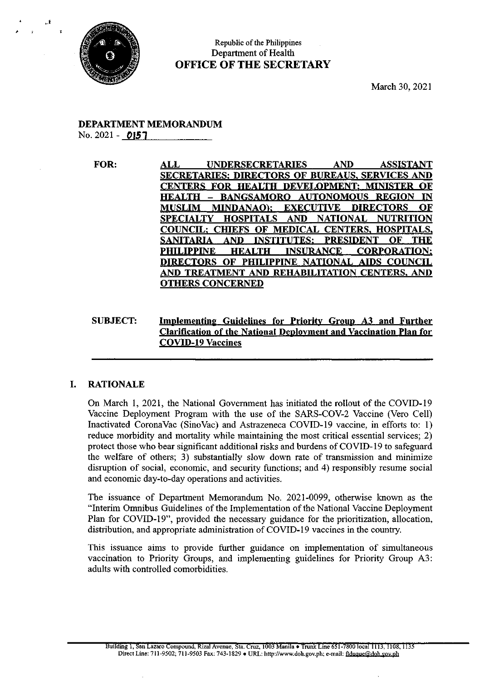

# Republic of the Philippines Department of Health OFFICE OF THE SECRETARY

March 30, 2021

# DEPARTMENT MEMORANDUM No. 2021- 0157

FOR: ALL UNDERSECRETARIES AND ASSISTANT SECRETARIES; DIRECTORS OF BUREAUS, SERVICES AND CENTERS FOR HEALTH DEVELOPMENT: MINISTER OF HEALTH —- BANGSAMORO AUTONOMOUS REGION IN MUSLIM MINDANAO): EXECUTIVE DIRECTORS OF SPECIALTY HOSPITALS AND NATIONAL NUTRITION **COUNCIL: CHIEFS OF MEDICAL CENTERS, HOSPITALS,<br>SANITARIA AND INSTITUTES: PRESIDENT OF THE** SANITARIA AND INSTITUTES: PRESIDENT PHILIPPINE HEALTH INSURANCE CORPORATION: DIRECTORS OF PHILIPPINE NATIONAL AIDS COUNCIL AND TREATMENT AND REHABILITATION CENTERS, AND OTHERS CONCERNED

# SUBJECT: Implementing Guidelines for Priority Group A3 and Further Clarification of the National Deployment and Vaccination Plan for COVID-19 Vaccines

# I. RATIONALE

On March 1, 2021, the National Government has initiated the rollout of the COVID-19 Vaccine Deployment Program with the use of the SARS-COV-2 Vaccine (Vero Cell) Inactivated CoronaVac (SinoVac) and Astrazeneca COVID-19 vaccine, in efforts to: 1) reduce morbidity and mortality while maintaining the most critical essential services; 2) protect those who bear significant additional risks and burdens of COVID-19 to safeguard the welfare of others; 3) substantially slow down rate of transmission and minimize disruption of social, economic, and security functions; and 4) responsibly resume social and economic day-to-day operations and activities.

The issuance of Department Memorandum No. 2021-0099, otherwise known as the "Interim Omnibus Guidelines of the Implementation of the National Vaccine Deployment Plan for COVID-19", provided the necessary guidance for the prioritization, allocation, distribution, and appropriate administration of COVID-19 vaccines in the country.

This issuance aims to provide further guidance on implementation of simultaneous vaccination to Priority Groups, and implementing guidelines for Priority Group A3: adults with controlled comorbidities.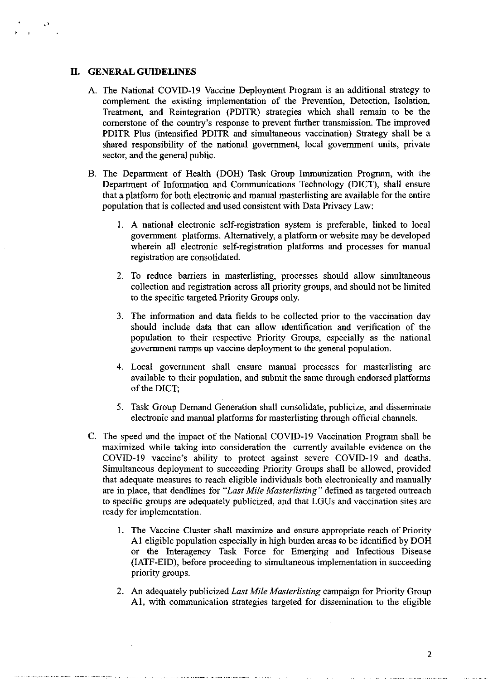#### II. GENERAL GUIDELINES

- A. The National COVID-19 Vaccine Deployment Program is an additional strategy to complement the existing implementation of the Prevention, Detection, Isolation, Treatment, and Reintegration (PDITR) strategies which shall remain to be the cornerstone of the country's response to prevent further transmission. The improved PDITR Plus (intensified PDITR and simultaneous vaccination) Strategy shall be a shared responsibility of the national government, local government units, private sector, and the general public.
- B. The Department of Health (DOH) Task Group Immunization Program, with the Department of Information and Communications Technology (DICT), shall ensure that a platform for both electronic and manual masterlisting are available for the entire population that is collected and used consistent with Data Privacy Law:
	- 1. A national electronic self-registration system is preferable, linked to local government platforms. Alternatively, a platform or website may be developed wherein all electronic self-registration platforms and processes for manual registration are consolidated.
	- 2. To reduce barriers in masterlisting, processes should allow simultaneous collection and registration across all priority groups, and should not be limited to the specific targeted Priority Groups only.
	- 3. The information and data fields to be collected prior to the vaccination day should include data that can allow identification and verification of the population to their respective Priority Groups, especially as the national government ramps up vaccine deployment to the general population.
	- 4. Local government shall ensure manual processes for masterlisting are available to their population, and submit the same through endorsed platforms of the DICT;
	- 5. Task Group Demand Generation shall consolidate, publicize, and disseminate electronic and manual platforms for masterlisting through official channels.
- C. The speed and the impact of the National COVID-19 Vaccination Program shall be maximized while taking into consideration the currently available evidence on the COVID-19 vaccine's ability to protect against severe COVID-19 and deaths. Simultaneous deployment to succeeding Priority Groups shall be allowed, provided that adequate measures to reach eligible individuals both electronically and manually are in place, that deadlines for "Last Mile Masterlisting" defined as targeted outreach to specific groups are adequately publicized, and that LGUs and vaccination sites are ready for implementation.
	- 1. The Vaccine Cluster shall maximize and ensure appropriate reach of Priority Al eligible population especially in high burden areas to be identified by DOH or the Interagency Task Force for Emerging and Infectious Disease (IATF-EID), before proceeding to simultaneous implementation in succeeding priority groups.
	- 2. An adequately publicized Last Mile Masterlisting campaign for Priority Group Al, with communication strategies targeted for dissemination to the eligible

 $\overline{2}$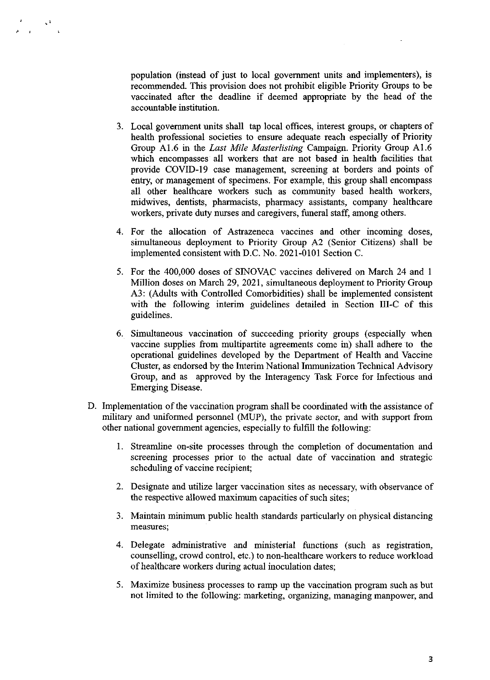population (instead of just to local government units and implementers), is recommended. This provision does not prohibit eligible Priority Groups to be vaccinated after the deadline if deemed appropriate by the head of the accountable institution.

- Local government units shall tap local offices, interest groups, or chapters of health professional societies to ensure adequate reach especially of Priority Group A1.6 in the Last Mile Masterlisting Campaign. Priority Group A1.6 which encompasses all workers that are not based in health facilities that provide COVID-19 case management, screening at borders and points of entry, or management of specimens. For example, this group shall encompass all other healthcare workers such as community based health workers, midwives, dentists, pharmacists, pharmacy assistants, company healthcare workers, private duty nurses and caregivers, funeral staff, among others.
- For the allocation of Astrazeneca vaccines and other incoming doses, simultaneous deployment to Priority Group A2 (Senior Citizens) shall be implemented consistent with D.C. No. 2021-0101 Section C.
- For the 400,000 doses of SINOVAC vaccines delivered on March 24 and <sup>1</sup> Million doses on March 29, 2021, simultaneous deployment to Priority Group A3: (Adults with Controlled Comorbidities) shall be implemented consistent with the following interim guidelines detailed in Section III-C of this guidelines.
- 6. Simultaneous vaccination of succeeding priority groups (especially when vaccine supplies from multipartite agreements come in) shall adhere to the operational guidelines developed by the Department of Health and Vaccine Cluster, as endorsed by the Interim National Immunization Technical Advisory Group, and as approved by the Interagency Task Force for Infectious and Emerging Disease.
- D. Implementation of the vaccination program shall be coordinated with the assistance of military and uniformed personnel (MUP), the private sector, and with support from other national government agencies, especially to fulfill the following:
	- I. Streamline on-site processes through the completion of documentation and screening processes prior to the actual date of vaccination and strategic scheduling of vaccine recipient;
	- Designate and utilize larger vaccination sites as necessary, with observance of the respective allowed maximum capacities of such sites;
	- Maintain minimum public health standards particularly on physical distancing measures,
	- Delegate administrative and ministerial functions (such as registration, counselling, crowd control, etc.) to non-healthcare workers to reduce workload of healthcare workers during actual inoculation dates;
	- Maximize business processes to ramp up the vaccination program such as but not limited to the following: marketing, organizing, managing manpower, and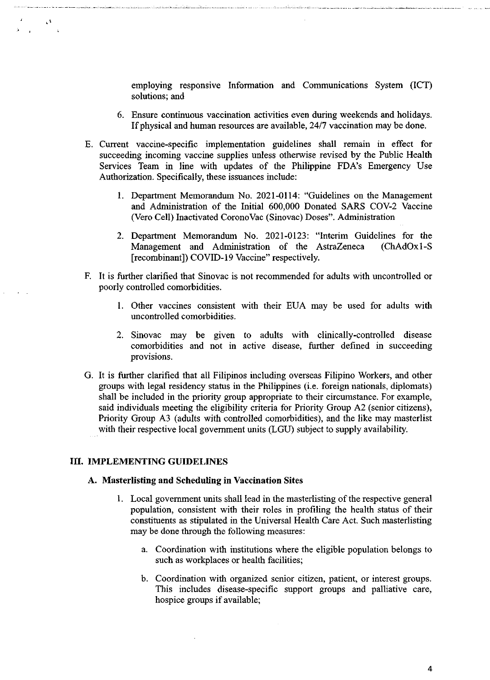employing responsive Information and Communications System (ICT) solutions; and

- 6. Ensure continuous vaccination activities even during weekends and holidays. If physical and human resources are available, 24/7 vaccination may be done.
- . Current vaccine-specific implementation guidelines shall remain in effect for succeeding incoming vaccine supplies unless otherwise revised by the Public Health Services Team in line with updates of the Philippine FDA's Emergency Use Authorization. Specifically, these issuances include:
	- 1. Department Memorandum No. 2021-0114: "Guidelines on the Management and Administration of the Initial 600,000 Donated SARS COV-2 Vaccine (Vero Cell) Inactivated CoronoVac (Sinovac) Doses". Administration
	- 2. Department Memorandum No. 2021-0123: "Interim Guidelines for the Management and Administration of the AstraZeneca [recombinant]) COVID-19 Vaccine" respectively.
- F. It is further clarified that Sinovac is not recommended for adults with uncontrolled or poorly controlled comorbidities.
	- 1. Other vaccines consistent with their EUA may be used for adults with uncontrolled comorbidities.
	- 2. Sinovac may be given to adults with clinically-controlled disease comorbidities and not in active disease, further defined in succeeding provisions.
- . It is further clarified that all Filipinos including overseas Filipino Workers, and other groups with legal residency status in the Philippines (i.e. foreign nationals, diplomats) shall be included in the priority group appropriate to their circumstance. For example, said individuals meeting the eligibility criteria for Priority Group A2 (senior citizens), Priority Group A3 (adults with controlled comorbidities), and the like may masterlist with their respective local government units (LGU) subject to supply availability.

#### ITI. IMPLEMENTING GUIDELINES

A

## A. Masterlisting and Scheduling in Vaccination Sites

- 1. Local government units shall lead in the masterlisting of the respective general population, consistent with their roles in profiling the health status of their constituents as stipulated in the Universal Health Care Act. Such masterlisting may be done through the following measures:
	- a. Coordination with institutions where the eligible population belongs to such as workplaces or health facilities;
	- b. Coordination with organized senior citizen, patient, or interest groups. This includes disease-specific support groups and palliative care, hospice groups if available;

4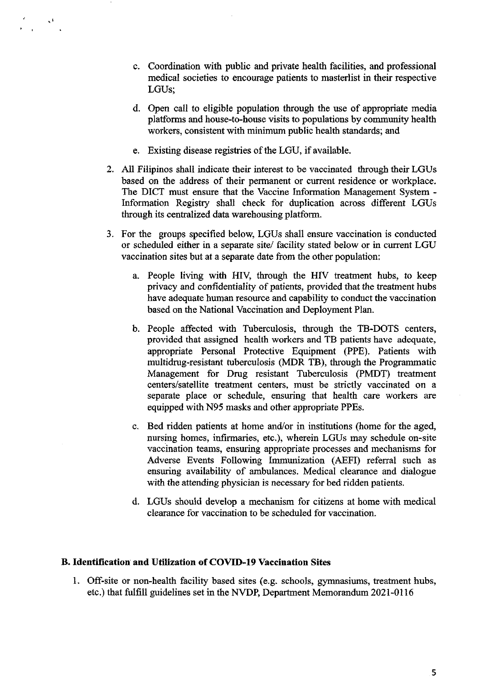- ¢. Coordination with public and private health facilities, and professional medical societies to encourage patients to masterlist in their respective LGUs;
- d. Open call to eligible population through the use of appropriate media platforms and house-to-house visits to populations by community health workers, consistent with minimum public health standards; and
- e. Existing disease registries of the LGU, if available.
- 2. All Filipinos shall indicate their interest to be vaccinated through their LGUs based on the address of their permanent or current residence or workplace. The DICT must ensure that the Vaccine Information Management System - Information Registry shall check for duplication across different LGUs through its centralized data warehousing platform.
- 3. For the groups specified below, LGUs shall ensure vaccination is conducted or scheduled either in <sup>a</sup> separate site/ facility stated below or in current LGU vaccination sites but at a separate date from the other population:
	- a. People living with HIV, through the HIV treatment hubs, to keep privacy and confidentiality of patients, provided that the treatment hubs have adequate human resource and capability to conduct the vaccination based on the National Vaccination and Deployment Plan.
	- b. People affected with Tuberculosis, through the TB-DOTS centers, provided that assigned health workers and TB patients have adequate, appropriate Personal Protective Equipment (PPE). Patients with multidrug-resistant tuberculosis (MDR TB), through the Programmatic Management for Drug resistant Tuberculosis (PMDT) treatment centers/satellite treatment centers, must be strictly vaccinated on a separate place or schedule, ensuring that health care workers are equipped with N95 masks and other appropriate PPEs.
	- c. Bed ridden patients at home and/or in institutions (home for the aged, nursing homes, infirmaries, etc.), wherein LGUs may schedule on-site vaccination teams, ensuring appropriate processes and mechanisms for Adverse Events Following Immunization (AEFI) referral such as ensuring availability of ambulances. Medical clearance and dialogue with the attending physician is necessary for bed ridden patients.
	- d. LGUs should develop a mechanism for citizens at home with medical clearance for vaccination to be scheduled for vaccination.

### B. Identification and Utilization of COVID-19 Vaccination Sites

1. Off-site or non-health facility based sites (e.g. schools, gymnasiums, treatment hubs, etc.) that fulfill guidelines set in the NVDP, Department Memorandum 2021-01 <sup>16</sup>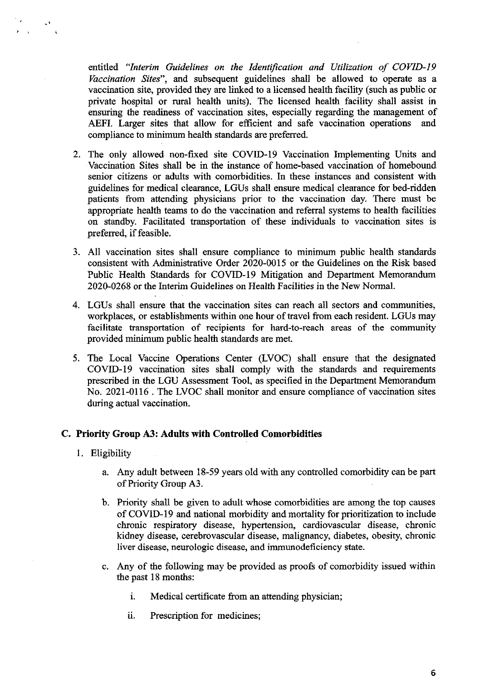entitled "Interim Guidelines on the Identification and Utilization of COVID-19 Vaccination Sites", and subsequent guidelines shall be allowed to operate as a vaccination site, provided they are linked to a licensed health facility (such as public or private hospital or rural health units). The licensed health facility shall assist in ensuring the readiness of vaccination sites, especially regarding the management of AEFI. Larger sites that allow for efficient and safe vaccination operations and compliance to minimum health standards are preferred.

- 2. The only allowed non-fixed site COVID-19 Vaccination Implementing Units and Vaccination Sites shall be in the instance of home-based vaccination of homebound senior citizens or adults with comorbidities. In these instances and consistent with guidelines for medical clearance, LGUs shall ensure medical clearance for bed-ridden patients from attending physicians prior to the vaccination day. There must be appropriate health teams to do the vaccination and referral systems to health facilities on standby. Facilitated transportation of these individuals to vaccination sites is preferred, if feasible.
- 3. All vaccination sites shall ensure compliance to minimum public health standards consistent with Administrative Order 2020-0015 or the Guidelines on the Risk based Public Health Standards for COVID-19 Mitigation and Department Memorandum 2020-0268 or the Interim Guidelines on Health Facilities in the New Normal.
- 4. LGUs shall ensure that the vaccination sites can reach all sectors and communities, workplaces, or establishments within one hour of travel from each resident. LGUs may facilitate transportation of recipients for hard-to-reach areas of the community provided minimum public health standards are met.
- 5. The Local Vaccine Operations Center (LVOC) shall ensure that the designated COVID-19 vaccination sites shall comply with the standards and requirements prescribed in the LGU Assessment Tool, as specified in the Department Memorandum No. 2021-0116 . The LVOC shall monitor and ensure compliance of vaccination sites during actual vaccination.

# C. Priority Group A3: Adults with Controlled Comorbidities

1. Eligibility

 $\mathbf{v} = \mathbf{v}$ 

- a. Any adult between 18-59 years old with any controlled comorbidity can be part of Priority Group A3.
- b. Priority shall be given to adult whose comorbidities are among the top causes of COVID-19 and national morbidity and mortality for prioritization to include chronic respiratory disease, hypertension, cardiovascular disease, chronic kidney disease, cerebrovascular disease, malignancy, diabetes, obesity, chronic liver disease, neurologic disease, and immunodeficiency state.
- ¢. Any of the following may be provided as proofs of comorbidity issued within the past 18 months:
	- i. Medical certificate from an attending physician;
	- ii. Prescription for medicines;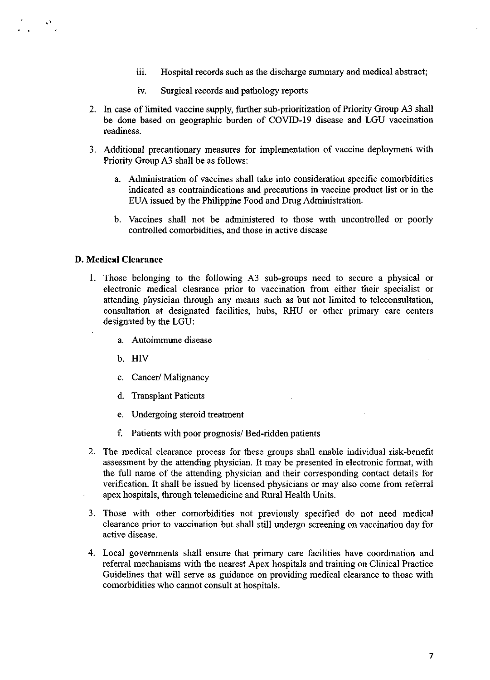- iii. Hospital records such as the discharge summary and medical abstract;
- iv. Surgical records and pathology reports
- 2. In case of limited vaccine supply, further sub-prioritization of Priority Group A3 shall be done based on geographic burden of COVID-19 disease and LGU vaccination readiness.
- Additional precautionary measures for implementation of vaccine deployment with Priority Group A3 shall be as follows:
	- a. Administration of vaccines shall take into consideration specific comorbidities indicated as contraindications and precautions in vaccine product list or in the EUA issued by the Philippine Food and Drug Administration.
	- b. Vaccines shall not be administered to those with uncontrolled or poorly controlled comorbidities, and those in active disease

## D. Medical Clearance

 $\frac{1}{\sqrt{2}}$ 

- I. Those belonging to the following A3 sub-groups need to secure a physical or electronic medical clearance prior to vaccination from either their specialist or attending physician through any means such as but not limited to teleconsultation, consultation at designated facilities, hubs, RHU or other primary care centers designated by the LGU:
	- a. Autoimmune disease
	- b. HIV
	- c. Cancer/ Malignancy
	- d. Transplant Patients
	- e. Undergoing steroid treatment
	- f. Patients with poor prognosis/ Bed-ridden patients
- The medical clearance process for these groups shall enable individual risk-benefit assessment by the attending physician. It may be presented in electronic format, with the full name of the attending physician and their corresponding contact details for verification. It shall be issued by licensed physicians or may also come from referral apex hospitals, through telemedicine and Rural Health Units.
- Those with other comorbidities not previously specified do not need medical clearance prior to vaccination but shall still undergo screening on vaccination day for active disease.
- Local governments shall ensure that primary care facilities have coordination and referral mechanisms with the nearest Apex hospitals and training on Clinical Practice Guidelines that will serve as guidance on providing medical clearance to those with comorbidities who cannot consult at hospitals.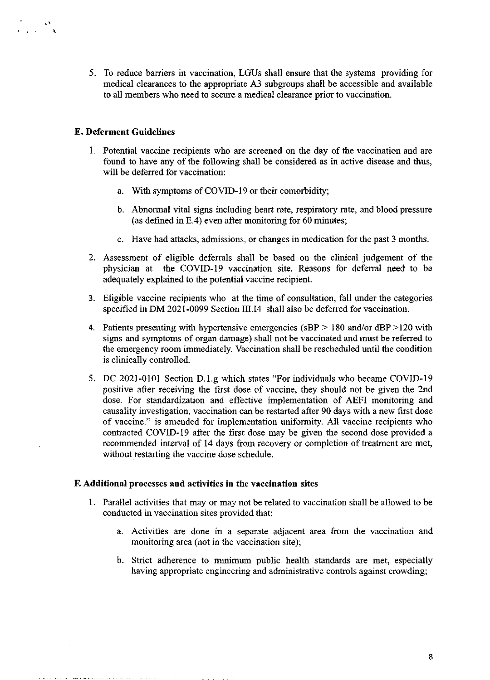5. To reduce barriers in vaccination, LGUs shall ensure that the systems providing for medical clearances to the appropriate A3 subgroups shall be accessible and available to all members who need to secure a medical clearance prior to vaccination.

## E. Deferment Guidelines

 $\frac{1}{\lambda}$  and  $\frac{\lambda}{\lambda}$ 

- 1. Potential vaccine recipients who are screened on the day of the vaccination and are found to have any of the following shall be considered as in active disease and thus, will be deferred for vaccination:
	- a. With symptoms of COVID-19 or their comorbidity;
	- b. Abnormal vital signs including heart rate, respiratory rate, and blood pressure (as defined in E.4) even after monitoring for 60 minutes;
	- c. Have had attacks, admissions, or changes in medication for the past <sup>3</sup> months.
- 2. Assessment of eligible deferrals shall be based on the clinical judgement of the physician at the COVID-19 vaccination site. Reasons for deferral need to be adequately explained to the potential vaccine recipient.
- 3. Eligible vaccine recipients who at the time of consultation, fall under the categories specified in DM 2021-0099 Section II1.I4 shall also be deferred for vaccination.
- 4. Patients presenting with hypertensive emergencies ( $sBP > 180$  and/or dBP  $>120$  with signs and symptoms of organ damage) shall not be vaccinated and must be referred to the emergency room immediately. Vaccination shall be rescheduled until the condition is clinically controlled.
- 5. DC 2021-0101 Section D.1.g which states "For individuals who became COVID-19 positive after receiving the first dose of vaccine, they should not be given the 2nd dose. For standardization and effective implementation of AEFI monitoring and causality investigation, vaccination can be restarted after 90 days with a new first dose of vaccine." is amended for implementation uniformity. All vaccine recipients who contracted COVID-19 after the first dose may be given the second dose provided a recommended interval of <sup>14</sup> days from recovery or completion of treatment are met, without restarting the vaccine dose schedule.

### F. Additional processes and activities in the vaccination sites

- 1. Parallel activities that may or may not be related to vaccination shall be allowed to be conducted in vaccination sites provided that:
	- a. Activities are done in a separate adjacent area from the vaccination and monitoring area (not in the vaccination site);
	- b. Strict adherence to minimum public health standards are met, especially having appropriate engineering and administrative controls against crowding;